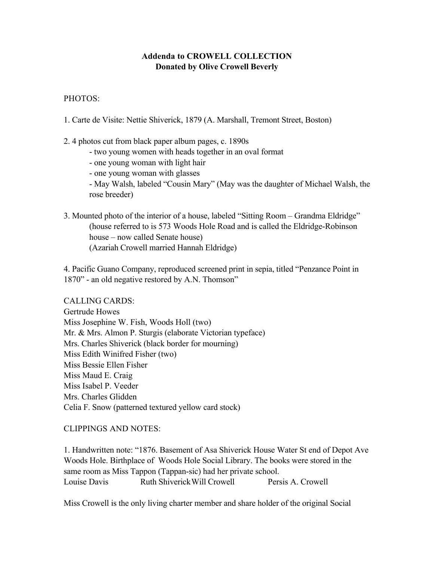## **Addenda to CROWELL COLLECTION Donated by Olive Crowell Beverly**

## PHOTOS:

1. Carte de Visite: Nettie Shiverick, 1879 (A. Marshall, Tremont Street, Boston)

2. 4 photos cut from black paper album pages, c. 1890s

- two young women with heads together in an oval format
- one young woman with light hair
- one young woman with glasses

- May Walsh, labeled "Cousin Mary" (May was the daughter of Michael Walsh, the rose breeder)

3. Mounted photo of the interior of a house, labeled "Sitting Room – Grandma Eldridge" (house referred to is 573 Woods Hole Road and is called the Eldridge-Robinson house – now called Senate house) (Azariah Crowell married Hannah Eldridge)

4. Pacific Guano Company, reproduced screened print in sepia, titled "Penzance Point in 1870" - an old negative restored by A.N. Thomson"

CALLING CARDS:

Gertrude Howes Miss Josephine W. Fish, Woods Holl (two) Mr. & Mrs. Almon P. Sturgis (elaborate Victorian typeface) Mrs. Charles Shiverick (black border for mourning) Miss Edith Winifred Fisher (two) Miss Bessie Ellen Fisher Miss Maud E. Craig Miss Isabel P. Veeder Mrs. Charles Glidden Celia F. Snow (patterned textured yellow card stock)

## CLIPPINGS AND NOTES:

1. Handwritten note: "1876. Basement of Asa Shiverick House Water St end of Depot Ave Woods Hole. Birthplace of Woods Hole Social Library. The books were stored in the same room as Miss Tappon (Tappan-sic) had her private school. Louise Davis Ruth ShiverickWill Crowell Persis A. Crowell

Miss Crowell is the only living charter member and share holder of the original Social